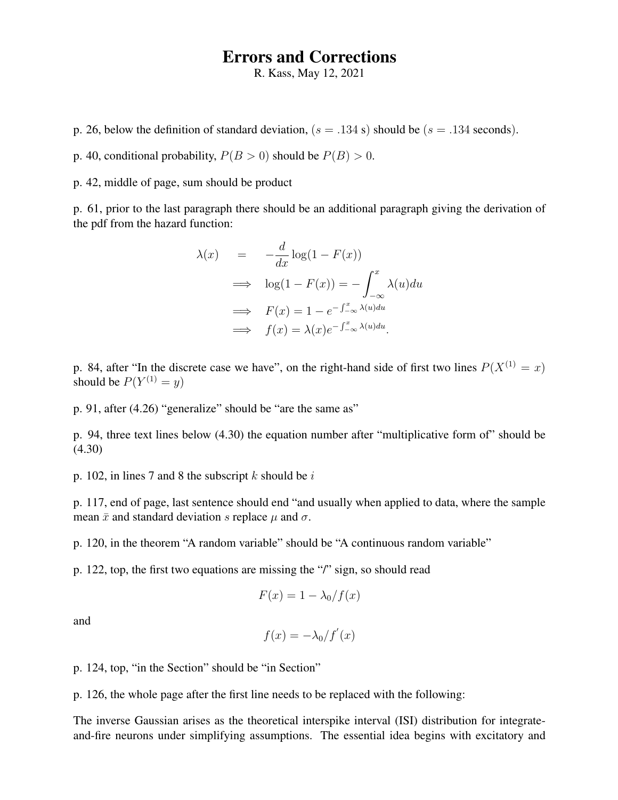## Errors and Corrections

R. Kass, May 12, 2021

p. 26, below the definition of standard deviation,  $(s = .134 \text{ s})$  should be  $(s = .134 \text{ seconds})$ .

p. 40, conditional probability,  $P(B > 0)$  should be  $P(B) > 0$ .

p. 42, middle of page, sum should be product

p. 61, prior to the last paragraph there should be an additional paragraph giving the derivation of the pdf from the hazard function:

$$
\lambda(x) = -\frac{d}{dx}\log(1 - F(x))
$$
  
\n
$$
\implies \log(1 - F(x)) = -\int_{-\infty}^{x} \lambda(u) du
$$
  
\n
$$
\implies F(x) = 1 - e^{-\int_{-\infty}^{x} \lambda(u) du}
$$
  
\n
$$
\implies f(x) = \lambda(x)e^{-\int_{-\infty}^{x} \lambda(u) du}.
$$

p. 84, after "In the discrete case we have", on the right-hand side of first two lines  $P(X^{(1)} = x)$ should be  $P(Y^{(1)} = y)$ 

p. 91, after (4.26) "generalize" should be "are the same as"

p. 94, three text lines below (4.30) the equation number after "multiplicative form of" should be (4.30)

p. 102, in lines 7 and 8 the subscript  $k$  should be  $i$ 

p. 117, end of page, last sentence should end "and usually when applied to data, where the sample mean  $\bar{x}$  and standard deviation s replace  $\mu$  and  $\sigma$ .

p. 120, in the theorem "A random variable" should be "A continuous random variable"

p. 122, top, the first two equations are missing the "/" sign, so should read

$$
F(x) = 1 - \lambda_0 / f(x)
$$

and

$$
f(x) = -\lambda_0/f'(x)
$$

p. 124, top, "in the Section" should be "in Section"

p. 126, the whole page after the first line needs to be replaced with the following:

The inverse Gaussian arises as the theoretical interspike interval (ISI) distribution for integrateand-fire neurons under simplifying assumptions. The essential idea begins with excitatory and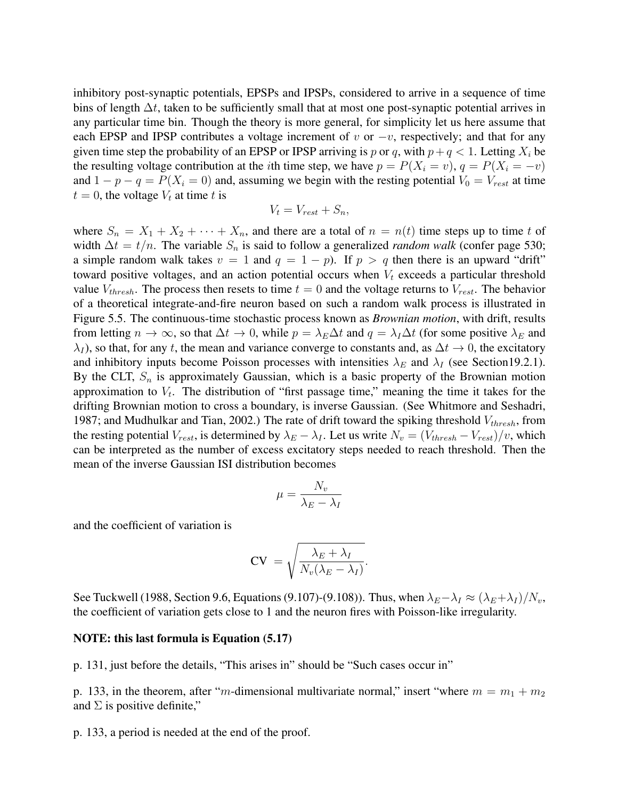inhibitory post-synaptic potentials, EPSPs and IPSPs, considered to arrive in a sequence of time bins of length  $\Delta t$ , taken to be sufficiently small that at most one post-synaptic potential arrives in any particular time bin. Though the theory is more general, for simplicity let us here assume that each EPSP and IPSP contributes a voltage increment of v or  $-v$ , respectively; and that for any given time step the probability of an EPSP or IPSP arriving is p or q, with  $p+q < 1$ . Letting  $X_i$  be the resulting voltage contribution at the *i*th time step, we have  $p = P(X_i = v)$ ,  $q = P(X_i = -v)$ and  $1 - p - q = P(X_i = 0)$  and, assuming we begin with the resting potential  $V_0 = V_{rest}$  at time  $t = 0$ , the voltage  $V_t$  at time t is

$$
V_t = V_{rest} + S_n,
$$

where  $S_n = X_1 + X_2 + \cdots + X_n$ , and there are a total of  $n = n(t)$  time steps up to time t of width  $\Delta t = t/n$ . The variable  $S_n$  is said to follow a generalized *random walk* (confer page 530; a simple random walk takes  $v = 1$  and  $q = 1 - p$ . If  $p > q$  then there is an upward "drift" toward positive voltages, and an action potential occurs when  $V_t$  exceeds a particular threshold value  $V_{thresh}$ . The process then resets to time  $t = 0$  and the voltage returns to  $V_{rest}$ . The behavior of a theoretical integrate-and-fire neuron based on such a random walk process is illustrated in Figure 5.5. The continuous-time stochastic process known as *Brownian motion*, with drift, results from letting  $n \to \infty$ , so that  $\Delta t \to 0$ , while  $p = \lambda_E \Delta t$  and  $q = \lambda_I \Delta t$  (for some positive  $\lambda_E$  and  $\lambda_I$ ), so that, for any t, the mean and variance converge to constants and, as  $\Delta t \to 0$ , the excitatory and inhibitory inputs become Poisson processes with intensities  $\lambda_E$  and  $\lambda_I$  (see Section19.2.1). By the CLT,  $S_n$  is approximately Gaussian, which is a basic property of the Brownian motion approximation to  $V_t$ . The distribution of "first passage time," meaning the time it takes for the drifting Brownian motion to cross a boundary, is inverse Gaussian. (See Whitmore and Seshadri, 1987; and Mudhulkar and Tian, 2002.) The rate of drift toward the spiking threshold  $V_{thresh}$ , from the resting potential  $V_{rest}$ , is determined by  $\lambda_E - \lambda_I$ . Let us write  $N_v = (V_{thresh} - V_{rest})/v$ , which can be interpreted as the number of excess excitatory steps needed to reach threshold. Then the mean of the inverse Gaussian ISI distribution becomes

$$
\mu = \frac{N_v}{\lambda_E - \lambda_I}
$$

and the coefficient of variation is

$$
CV = \sqrt{\frac{\lambda_E + \lambda_I}{N_v(\lambda_E - \lambda_I)}}.
$$

See Tuckwell (1988, Section 9.6, Equations (9.107)-(9.108)). Thus, when  $\lambda_E - \lambda_I \approx (\lambda_E + \lambda_I)/N_v$ , the coefficient of variation gets close to 1 and the neuron fires with Poisson-like irregularity.

## NOTE: this last formula is Equation (5.17)

p. 131, just before the details, "This arises in" should be "Such cases occur in"

p. 133, in the theorem, after "m-dimensional multivariate normal," insert "where  $m = m_1 + m_2$ and  $\Sigma$  is positive definite,"

p. 133, a period is needed at the end of the proof.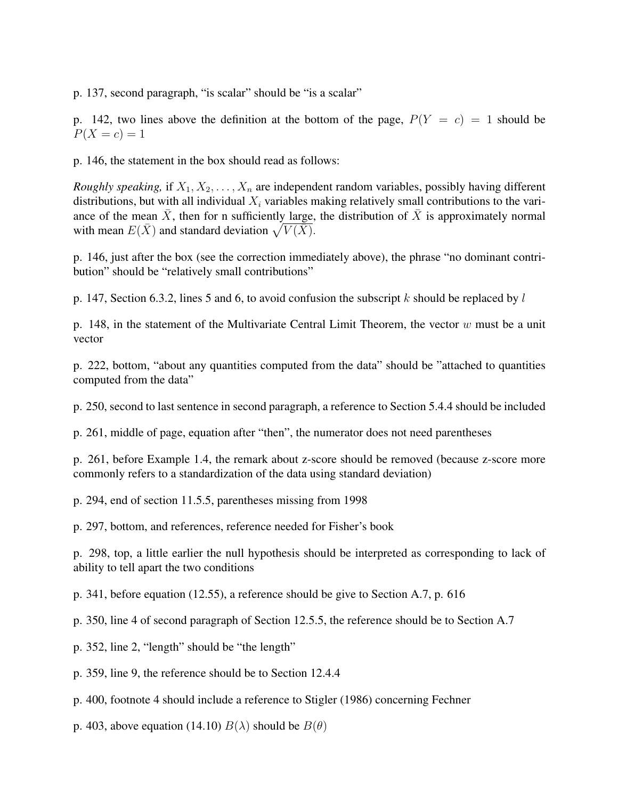p. 137, second paragraph, "is scalar" should be "is a scalar"

p. 142, two lines above the definition at the bottom of the page,  $P(Y = c) = 1$  should be  $P(X = c) = 1$ 

p. 146, the statement in the box should read as follows:

*Roughly speaking,* if  $X_1, X_2, \ldots, X_n$  are independent random variables, possibly having different distributions, but with all individual  $X_i$  variables making relatively small contributions to the variance of the mean  $\bar{X}$ , then for n sufficiently large, the distribution of  $\bar{X}$  is approximately normal with mean  $E(\bar{X})$  and standard deviation  $\sqrt{V(\bar{X})}$ .

p. 146, just after the box (see the correction immediately above), the phrase "no dominant contribution" should be "relatively small contributions"

p. 147, Section 6.3.2, lines 5 and 6, to avoid confusion the subscript k should be replaced by  $l$ 

p. 148, in the statement of the Multivariate Central Limit Theorem, the vector  $w$  must be a unit vector

p. 222, bottom, "about any quantities computed from the data" should be "attached to quantities computed from the data"

p. 250, second to last sentence in second paragraph, a reference to Section 5.4.4 should be included

p. 261, middle of page, equation after "then", the numerator does not need parentheses

p. 261, before Example 1.4, the remark about z-score should be removed (because z-score more commonly refers to a standardization of the data using standard deviation)

p. 294, end of section 11.5.5, parentheses missing from 1998

p. 297, bottom, and references, reference needed for Fisher's book

p. 298, top, a little earlier the null hypothesis should be interpreted as corresponding to lack of ability to tell apart the two conditions

p. 341, before equation (12.55), a reference should be give to Section A.7, p. 616

p. 350, line 4 of second paragraph of Section 12.5.5, the reference should be to Section A.7

p. 352, line 2, "length" should be "the length"

p. 359, line 9, the reference should be to Section 12.4.4

p. 400, footnote 4 should include a reference to Stigler (1986) concerning Fechner

p. 403, above equation (14.10)  $B(\lambda)$  should be  $B(\theta)$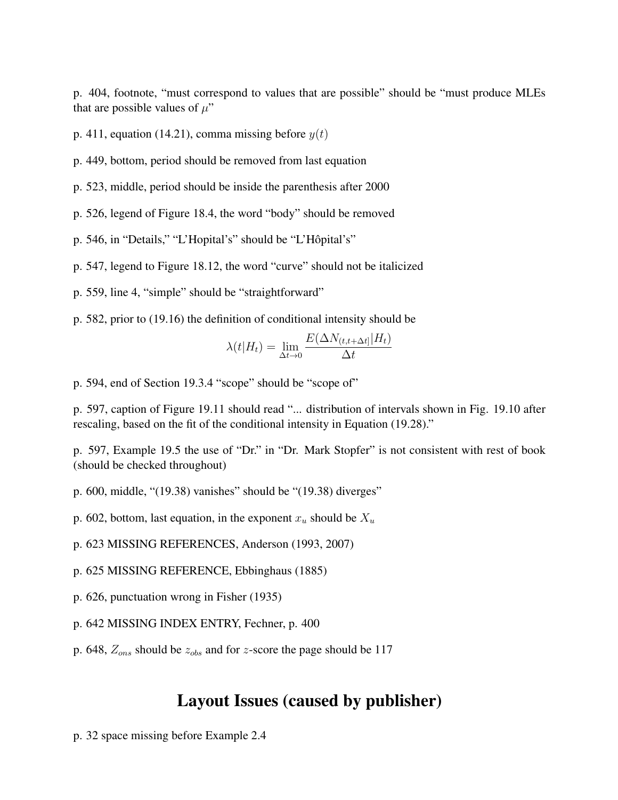p. 404, footnote, "must correspond to values that are possible" should be "must produce MLEs that are possible values of  $\mu$ "

p. 411, equation (14.21), comma missing before  $y(t)$ 

p. 449, bottom, period should be removed from last equation

p. 523, middle, period should be inside the parenthesis after 2000

p. 526, legend of Figure 18.4, the word "body" should be removed

p. 546, in "Details," "L'Hopital's" should be "L'Hôpital's"

p. 547, legend to Figure 18.12, the word "curve" should not be italicized

p. 559, line 4, "simple" should be "straightforward"

p. 582, prior to (19.16) the definition of conditional intensity should be

$$
\lambda(t|H_t) = \lim_{\Delta t \to 0} \frac{E(\Delta N_{(t,t+\Delta t)}|H_t)}{\Delta t}
$$

p. 594, end of Section 19.3.4 "scope" should be "scope of"

p. 597, caption of Figure 19.11 should read "... distribution of intervals shown in Fig. 19.10 after rescaling, based on the fit of the conditional intensity in Equation (19.28)."

p. 597, Example 19.5 the use of "Dr." in "Dr. Mark Stopfer" is not consistent with rest of book (should be checked throughout)

p. 600, middle, "(19.38) vanishes" should be "(19.38) diverges"

p. 602, bottom, last equation, in the exponent  $x_u$  should be  $X_u$ 

p. 623 MISSING REFERENCES, Anderson (1993, 2007)

- p. 625 MISSING REFERENCE, Ebbinghaus (1885)
- p. 626, punctuation wrong in Fisher (1935)
- p. 642 MISSING INDEX ENTRY, Fechner, p. 400
- p. 648,  $Z_{ons}$  should be  $z_{obs}$  and for z-score the page should be 117

## Layout Issues (caused by publisher)

p. 32 space missing before Example 2.4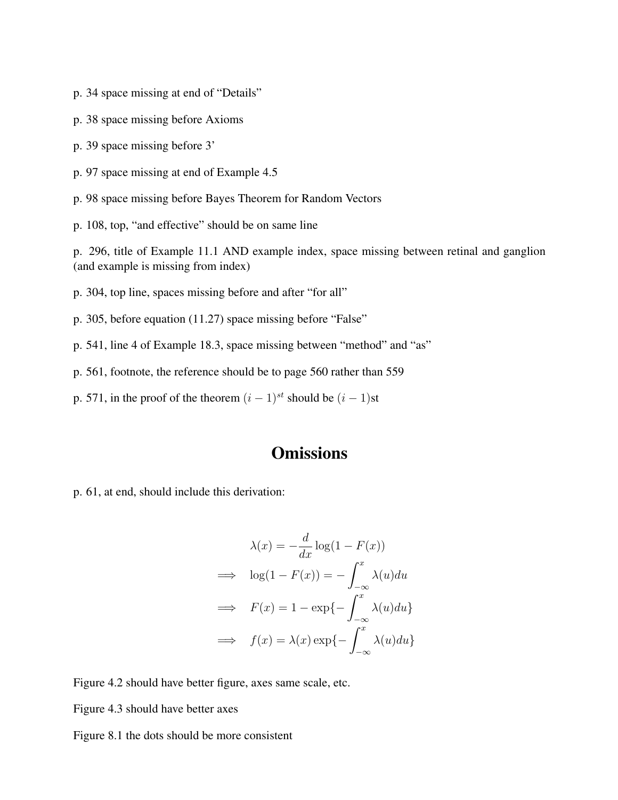- p. 34 space missing at end of "Details"
- p. 38 space missing before Axioms
- p. 39 space missing before 3'
- p. 97 space missing at end of Example 4.5

p. 98 space missing before Bayes Theorem for Random Vectors

p. 108, top, "and effective" should be on same line

p. 296, title of Example 11.1 AND example index, space missing between retinal and ganglion (and example is missing from index)

- p. 304, top line, spaces missing before and after "for all"
- p. 305, before equation (11.27) space missing before "False"
- p. 541, line 4 of Example 18.3, space missing between "method" and "as"
- p. 561, footnote, the reference should be to page 560 rather than 559
- p. 571, in the proof of the theorem  $(i 1)^{st}$  should be  $(i 1)$ st

## **Omissions**

p. 61, at end, should include this derivation:

$$
\lambda(x) = -\frac{d}{dx}\log(1 - F(x))
$$
  
\n
$$
\implies \log(1 - F(x)) = -\int_{-\infty}^{x} \lambda(u) du
$$
  
\n
$$
\implies F(x) = 1 - \exp\{-\int_{-\infty}^{x} \lambda(u) du\}
$$
  
\n
$$
\implies f(x) = \lambda(x) \exp\{-\int_{-\infty}^{x} \lambda(u) du\}
$$

Figure 4.2 should have better figure, axes same scale, etc.

Figure 4.3 should have better axes

Figure 8.1 the dots should be more consistent